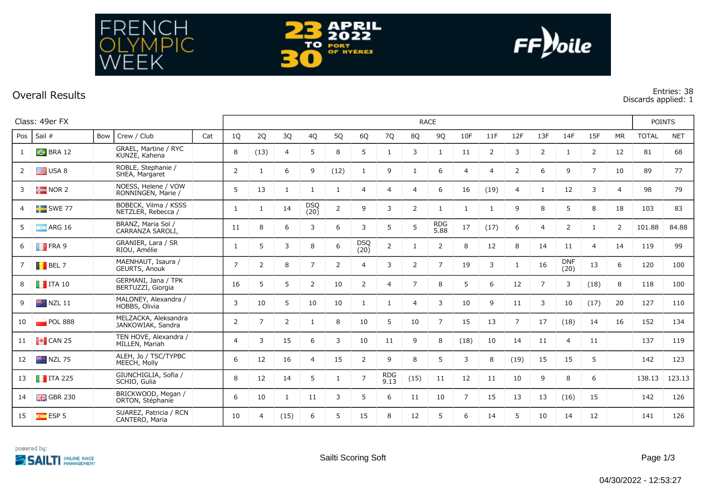



## **Overall Results Entries: 38**

NCH<br>MPIC

FRE

EEK

**Discards applied: 1**

|     | Class: 49er FX         |     |                                            |     |                |                | <b>RACE</b>    |                    |                |                    |                    |                |                    |              |                |                |                |                    |                |                | <b>POINTS</b> |            |  |
|-----|------------------------|-----|--------------------------------------------|-----|----------------|----------------|----------------|--------------------|----------------|--------------------|--------------------|----------------|--------------------|--------------|----------------|----------------|----------------|--------------------|----------------|----------------|---------------|------------|--|
| Pos | Sail #                 | Bow | Crew / Club                                | Cat | 1Q             | 2Q             | 3Q             | 4Q                 | 5Q             | 6Q                 | 7Q                 | 8Q             | 9Q                 | 10F          | 11F            | 12F            | 13F            | 14F                | 15F            | <b>MR</b>      | <b>TOTAL</b>  | <b>NET</b> |  |
|     | BRA12                  |     | GRAEL, Martine / RYC<br>KUNZE, Kahena      |     | 8              | (13)           | 4              | 5                  | 8              | 5                  | -1                 | 3              | $\mathbf{1}$       | 11           | 2              | 3              | $\overline{2}$ | -1                 | $\overline{2}$ | 12             | 81            | 68         |  |
| 2   | $\equiv$ USA 8         |     | ROBLE, Stephanie /<br>SHEA, Margaret       |     | $\overline{2}$ | 1              | 6              | 9                  | (12)           | 1                  | 9                  | $\mathbf{1}$   | 6                  | 4            | $\overline{4}$ | 2              | 6              | 9                  | $\overline{7}$ | 10             | 89            | 77         |  |
| 3   | $\frac{1}{2}$ NOR 2    |     | NOESS, Helene / VOW<br>RONNINGEN, Marie /  |     | 5              | 13             | $\mathbf{1}$   | 1                  | -1             | $\overline{4}$     | 4                  | $\overline{4}$ | 6                  | 16           | (19)           | 4              | $\mathbf{1}$   | 12                 | 3              | $\overline{4}$ | 98            | 79         |  |
| 4   | $SWE$ 77               |     | BOBECK, Vilma / KSSS<br>NETZLER, Rebecca / |     | 1              | $\mathbf{1}$   | 14             | <b>DSQ</b><br>(20) | $\overline{2}$ | 9                  | 3                  | $\overline{2}$ | $\mathbf{1}$       | $\mathbf{1}$ | $\mathbf{1}$   | 9              | 8              | 5                  | 8              | 18             | 103           | 83         |  |
| 5   | $\blacksquare$ ARG 16  |     | BRANZ, Maria Sol /<br>CARRANZA SAROLI,     |     | 11             | 8              | 6              | 3                  | 6              | 3                  | 5                  | 5              | <b>RDG</b><br>5.88 | 17           | (17)           | 6              | $\overline{4}$ | 2                  |                | 2              | 101.88        | 84.88      |  |
| 6   | $\blacksquare$ FRA 9   |     | GRANIER, Lara / SR<br>RIOU, Amélie         |     | 1              | 5              | 3              | 8                  | 6              | <b>DSQ</b><br>(20) | $\overline{2}$     | $\mathbf{1}$   | 2                  | 8            | 12             | 8              | 14             | 11                 | $\overline{4}$ | 14             | 119           | 99         |  |
| 7   | $\blacksquare$ BEL 7   |     | MAENHAUT, Isaura /<br>GEURTS, Anouk        |     | $\overline{7}$ | 2              | 8              | $\overline{7}$     | 2              | $\overline{4}$     | 3                  | $\overline{2}$ | $\overline{7}$     | 19           | 3              | 1              | 16             | <b>DNF</b><br>(20) | 13             | 6              | 120           | 100        |  |
|     | $\blacksquare$ ITA 10  |     | GERMANI, Jana / TPK<br>BERTUZZI, Giorgia   |     | 16             | 5              | 5              | $\overline{2}$     | 10             | $\overline{2}$     | $\overline{4}$     | $\overline{7}$ | 8                  | 5            | 6              | 12             | $\overline{7}$ | 3                  | (18)           | 8              | 118           | 100        |  |
| 9   | $NZL$ 11               |     | MALONEY, Alexandra /<br>HOBBS, Olivia      |     | 3              | 10             | 5              | 10                 | 10             | $\mathbf{1}$       | -1                 | $\overline{4}$ | 3                  | 10           | 9              | 11             | 3              | 10                 | (17)           | 20             | 127           | 110        |  |
| 10  | POL 888                |     | MELZACKA, Aleksandra<br>JANKOWIAK, Sandra  |     | $\overline{2}$ | $\overline{7}$ | $\overline{2}$ | 1                  | 8              | 10                 | 5                  | 10             | $\overline{7}$     | 15           | 13             | $\overline{7}$ | 17             | (18)               | 14             | 16             | 152           | 134        |  |
| 11  | $\blacksquare$ CAN 25  |     | TEN HOVE, Alexandra /<br>MILLEN, Mariah    |     | $\overline{4}$ | 3              | 15             | 6                  | 3              | 10                 | 11                 | 9              | 8                  | (18)         | 10             | 14             | 11             | $\overline{4}$     | 11             |                | 137           | 119        |  |
| 12  | $NZL$ 75               |     | ALEH, Jo / TSC/TYPBC<br>MEECH, Molly       |     | 6              | 12             | 16             | $\overline{4}$     | 15             | $\overline{2}$     | 9                  | 8              | 5                  | 3            | 8              | (19)           | 15             | 15                 | 5              |                | 142           | 123        |  |
| 13  | $\blacksquare$ ITA 225 |     | GIUNCHIGLIA, Sofia /<br>SCHIO, Gulia       |     | 8              | 12             | 14             | 5                  | -1             | $\overline{7}$     | <b>RDG</b><br>9.13 | (15)           | 11                 | 12           | 11             | 10             | 9              | 8                  | 6              |                | 138.13        | 123.13     |  |
| 14  | $GBR$ 230              |     | BRICKWOOD, Megan /<br>ORTON, Stéphanie     |     | 6              | 10             | 1              | 11                 | 3              | 5                  | 6                  | 11             | 10                 | 7            | 15             | 13             | 13             | (16)               | 15             |                | 142           | 126        |  |
| 15  | ESP <sub>5</sub>       |     | SUAREZ, Patricia / RCN<br>CANTERO, Maria   |     | 10             | $\overline{4}$ | (15)           | 6                  | 5              | 15                 | 8                  | 12             | 5                  | 6            | 14             | 5              | 10             | 14                 | 12             |                | 141           | 126        |  |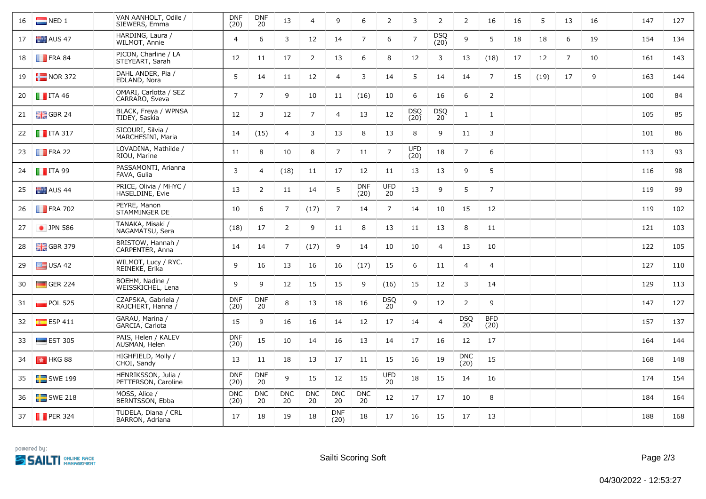| 16 | $\blacksquare$ NED 1      | VAN AANHOLT, Odile /<br>SIEWERS, Emma      | <b>DNF</b><br>(20) | <b>DNF</b><br>20 | 13               | $\overline{4}$   | 9                  | 6                  | $\overline{2}$   | 3                  | $\overline{2}$                | 2                          | 16                 | 16 | 5    | 13 | 16 | 147 | 127 |
|----|---------------------------|--------------------------------------------|--------------------|------------------|------------------|------------------|--------------------|--------------------|------------------|--------------------|-------------------------------|----------------------------|--------------------|----|------|----|----|-----|-----|
| 17 | AUS 47                    | HARDING, Laura /<br>WILMOT, Annie          | $\overline{4}$     | 6                | 3                | 12               | 14                 | $\overline{7}$     | 6                | $\overline{7}$     | DSQ<br>(20)                   | 9                          | 5                  | 18 | 18   | 6  | 19 | 154 | 134 |
| 18 | $\blacksquare$ FRA 84     | PICON, Charline / LA<br>STEYEART, Sarah    | 12                 | 11               | 17               | 2                | 13                 | 6                  | 8                | 12                 | 3                             | 13                         | (18)               | 17 | 12   | 7  | 10 | 161 | 143 |
| 19 | $\frac{1}{2}$ NOR 372     | DAHL ANDER, Pia /<br>EDLAND, Nora          | 5                  | 14               | 11               | 12               | $\overline{4}$     | 3                  | 14               | 5                  | 14                            | 14                         | $\overline{7}$     | 15 | (19) | 17 | 9  | 163 | 144 |
| 20 | $\blacksquare$ ITA 46     | OMARI, Carlotta / SEZ<br>CARRARO, Sveva    | $\overline{7}$     | $\overline{7}$   | 9                | 10               | 11                 | (16)               | 10               | 6                  | 16                            | 6                          | 2                  |    |      |    |    | 100 | 84  |
| 21 | $\frac{1}{2}$ GBR 24      | BLACK, Freya / WPNSA<br>TIDEY, Saskia      | 12                 | 3                | 12               | $\overline{7}$   | $\overline{4}$     | 13                 | 12               | <b>DSQ</b><br>(20) | <b>DSQ</b><br>20 <sup>2</sup> | 1                          | $\mathbf{1}$       |    |      |    |    | 105 | 85  |
| 22 | $\blacksquare$ ITA 317    | SICOURI, Silvia /<br>MARCHESINI, Maria     | 14                 | (15)             | 4                | 3                | 13                 | 8                  | 13               | 8                  | 9                             | 11                         | 3                  |    |      |    |    | 101 | 86  |
| 23 | $\blacksquare$ FRA 22     | LOVADINA, Mathilde /<br>RIOU, Marine       | 11                 | 8                | 10               | 8                | $\overline{7}$     | 11                 | $\overline{7}$   | <b>UFD</b><br>(20) | 18                            | $\overline{7}$             | 6                  |    |      |    |    | 113 | 93  |
| 24 | $\blacksquare$ ITA 99     | PASSAMONTI, Arianna<br>FAVA, Gulia         | 3                  | 4                | (18)             | 11               | 17                 | 12                 | 11               | 13                 | 13                            | 9                          | 5                  |    |      |    |    | 116 | 98  |
| 25 | $\blacksquare$ AUS 44     | PRICE, Olivia / MHYC /<br>HASELDINE, Evie  | 13                 | $\overline{2}$   | 11               | 14               | 5                  | <b>DNF</b><br>(20) | <b>UFD</b><br>20 | 13                 | 9                             | 5                          | $\overline{7}$     |    |      |    |    | 119 | 99  |
| 26 | $\blacksquare$ FRA 702    | PEYRE, Manon<br>STAMMINGER DE              | 10                 | 6                | $\overline{7}$   | (17)             | $\overline{7}$     | 14                 | $\overline{7}$   | 14                 | 10                            | 15                         | 12                 |    |      |    |    | 119 | 102 |
| 27 | • JPN 586                 | TANAKA, Misaki /<br>NAGAMATSU, Sera        | (18)               | 17               | 2                | 9                | 11                 | 8                  | 13               | 11                 | 13                            | 8                          | 11                 |    |      |    |    | 121 | 103 |
| 28 | $\frac{12}{10}$ GBR 379   | BRISTOW, Hannah /<br>CARPENTER, Anna       | 14                 | 14               | $\overline{7}$   | (17)             | 9                  | 14                 | 10               | 10                 | $\overline{4}$                | 13                         | 10                 |    |      |    |    | 122 | 105 |
| 29 | $\equiv$ USA 42           | WILMOT, Lucy / RYC.<br>REINEKE, Erika      | 9                  | 16               | 13               | 16               | 16                 | (17)               | 15               | 6                  | 11                            | $\overline{4}$             | 4                  |    |      |    |    | 127 | 110 |
| 30 | $\blacksquare$ GER 224    | BOEHM, Nadine /<br>WEISSKICHEL, Lena       | 9                  | 9                | 12               | 15               | 15                 | 9                  | (16)             | 15                 | 12                            | 3                          | 14                 |    |      |    |    | 129 | 113 |
| 31 | $\blacksquare$ POL 525    | CZAPSKA, Gabriela /<br>RAJCHERT, Hanna /   | <b>DNF</b><br>(20) | <b>DNF</b><br>20 | 8                | 13               | 18                 | 16                 | DSQ<br>20        | 9                  | 12                            | $\overline{2}$             | 9                  |    |      |    |    | 147 | 127 |
| 32 | $E$ ESP 411               | GARAU, Marina /<br>GARCIA, Carlota         | 15                 | 9                | 16               | 16               | 14                 | 12                 | 17               | 14                 | $\overline{4}$                | <b>DSQ</b><br>$20^{\circ}$ | <b>BFD</b><br>(20) |    |      |    |    | 157 | 137 |
| 33 | $\blacksquare$ EST 305    | PAIS, Helen / KALEV<br>AUSMAN, Helen       | <b>DNF</b><br>(20) | 15               | 10               | 14               | 16                 | 13                 | 14               | 17                 | 16                            | 12                         | 17                 |    |      |    |    | 164 | 144 |
| 34 | $H K$ <sub>5</sub> HKG 88 | HIGHFIELD, Molly /<br>CHOI, Sandy          | 13                 | 11               | 18               | 13               | 17                 | 11                 | 15               | 16                 | 19                            | <b>DNC</b><br>(20)         | 15                 |    |      |    |    | 168 | 148 |
| 35 | $SWE$ 199                 | HENRIKSSON, Julia /<br>PETTERSON, Caroline | <b>DNF</b><br>(20) | <b>DNF</b><br>20 | 9                | 15               | 12                 | 15                 | <b>UFD</b><br>20 | 18                 | 15                            | 14                         | 16                 |    |      |    |    | 174 | 154 |
| 36 | $SWE$ 218                 | MOSS, Alice /<br>BERNTSSON, Ebba           | <b>DNC</b><br>(20) | <b>DNC</b><br>20 | <b>DNC</b><br>20 | <b>DNC</b><br>20 | <b>DNC</b><br>20   | <b>DNC</b><br>20   | 12               | 17                 | 17                            | 10                         | 8                  |    |      |    |    | 184 | 164 |
| 37 | $\blacksquare$ PER 324    | TUDELA, Diana / CRL<br>BARRON, Adriana     | 17                 | 18               | 19               | 18               | <b>DNF</b><br>(20) | 18                 | 17               | 16                 | 15                            | 17                         | 13                 |    |      |    |    | 188 | 168 |